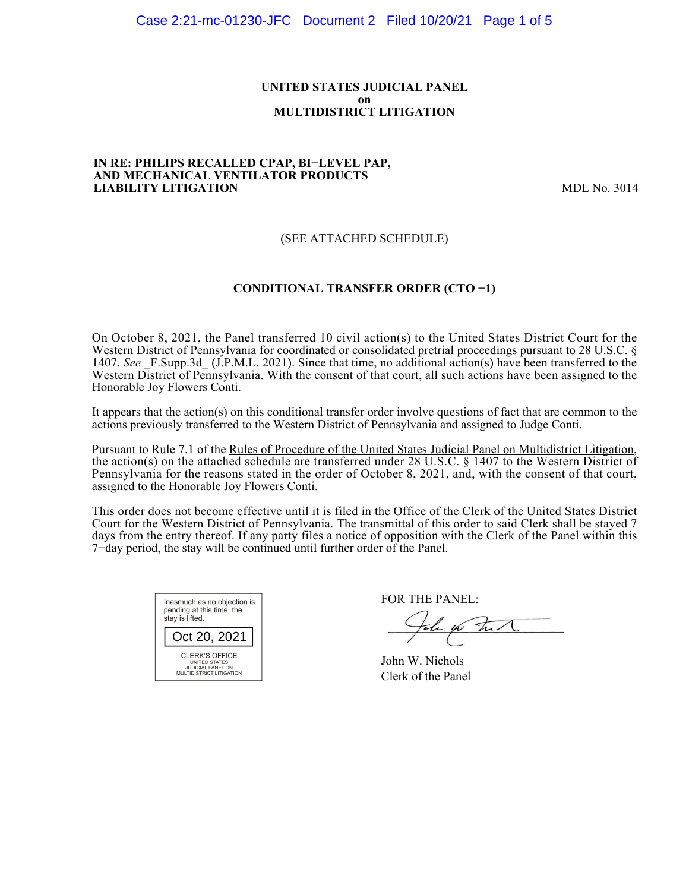#### **UNITED STATES JUDICIAL PANEL on MULTIDISTRICT LITIGATION**

#### **IN RE: PHILIPS RECALLED CPAP, BI−LEVEL PAP, AND MECHANICAL VENTILATOR PRODUCTS LIABILITY LITIGATION** MDL No. 3014

#### (SEE ATTACHED SCHEDULE)

#### **CONDITIONAL TRANSFER ORDER (CTO −1)**

On October 8, 2021, the Panel transferred 10 civil action(s) to the United States District Court for the Western District of Pennsylvania for coordinated or consolidated pretrial proceedings pursuant to 28 U.S.C. § 1407. *See* \_F.Supp.3d\_ (J.P.M.L. 2021). Since that time, no additional action(s) have been transferred to the Western District of Pennsylvania. With the consent of that court, all such actions have been assigned to the Honorable Joy Flowers Conti.

It appears that the action(s) on this conditional transfer order involve questions of fact that are common to the actions previously transferred to the Western District of Pennsylvania and assigned to Judge Conti.

Pursuant to Rule 7.1 of the Rules of Procedure of the United States Judicial Panel on Multidistrict Litigation, the action(s) on the attached schedule are transferred under 28 U.S.C. § 1407 to the Western District of Pennsylvania for the reasons stated in the order of October 8, 2021, and, with the consent of that court, assigned to the Honorable Joy Flowers Conti.

This order does not become effective until it is filed in the Office of the Clerk of the United States District Court for the Western District of Pennsylvania. The transmittal of this order to said Clerk shall be stayed 7 days from the entry thereof. If any party files a notice of opposition with the Clerk of the Panel within this 7−day period, the stay will be continued until further order of the Panel.



FOR THE PANEL:

which

John W. Nichols Clerk of the Panel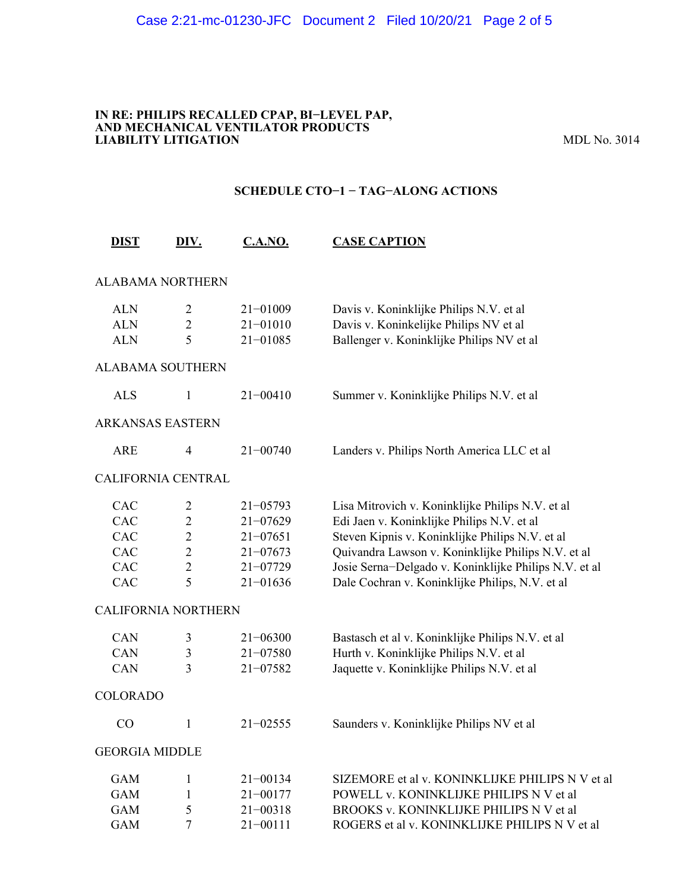#### **IN RE: PHILIPS RECALLED CPAP, BI−LEVEL PAP, AND MECHANICAL VENTILATOR PRODUCTS LIABILITY LITIGATION** MDL No. 3014

#### **SCHEDULE CTO−1 − TAG−ALONG ACTIONS**

| <b>DIST</b>                | DIV.           | <b>C.A.NO.</b> | <b>CASE CAPTION</b>                                   |
|----------------------------|----------------|----------------|-------------------------------------------------------|
| <b>ALABAMA NORTHERN</b>    |                |                |                                                       |
| <b>ALN</b>                 | $\overline{c}$ | 21-01009       | Davis v. Koninklijke Philips N.V. et al               |
| <b>ALN</b>                 | $\overline{2}$ | $21 - 01010$   | Davis v. Koninkelijke Philips NV et al                |
| <b>ALN</b>                 | 5              | $21 - 01085$   | Ballenger v. Koninklijke Philips NV et al             |
| <b>ALABAMA SOUTHERN</b>    |                |                |                                                       |
| <b>ALS</b>                 | $\mathbf{1}$   | $21 - 00410$   | Summer v. Koninklijke Philips N.V. et al              |
| <b>ARKANSAS EASTERN</b>    |                |                |                                                       |
| <b>ARE</b>                 | 4              | $21 - 00740$   | Landers v. Philips North America LLC et al            |
| CALIFORNIA CENTRAL         |                |                |                                                       |
| CAC                        | 2              | $21 - 05793$   | Lisa Mitrovich v. Koninklijke Philips N.V. et al      |
| CAC                        | $\overline{2}$ | $21 - 07629$   | Edi Jaen v. Koninklijke Philips N.V. et al            |
| <b>CAC</b>                 | $\overline{2}$ | $21 - 07651$   | Steven Kipnis v. Koninklijke Philips N.V. et al       |
| CAC                        | $\overline{2}$ | $21 - 07673$   | Quivandra Lawson v. Koninklijke Philips N.V. et al    |
| CAC                        | $\overline{2}$ | $21 - 07729$   | Josie Serna-Delgado v. Koninklijke Philips N.V. et al |
| CAC                        | 5              | $21 - 01636$   | Dale Cochran v. Koninklijke Philips, N.V. et al       |
| <b>CALIFORNIA NORTHERN</b> |                |                |                                                       |
| CAN                        | 3              | $21 - 06300$   | Bastasch et al v. Koninklijke Philips N.V. et al      |
| CAN                        | 3              | $21 - 07580$   | Hurth v. Koninklijke Philips N.V. et al               |
| CAN                        | 3              | $21 - 07582$   | Jaquette v. Koninklijke Philips N.V. et al            |
| <b>COLORADO</b>            |                |                |                                                       |
| CO                         | $\mathbf{1}$   | $21 - 02555$   | Saunders v. Koninklijke Philips NV et al              |
| <b>GEORGIA MIDDLE</b>      |                |                |                                                       |
| <b>GAM</b>                 | 1              | $21 - 00134$   | SIZEMORE et al v. KONINKLIJKE PHILIPS N V et al       |
| <b>GAM</b>                 | 1              | $21 - 00177$   | POWELL v. KONINKLIJKE PHILIPS N V et al               |
| <b>GAM</b>                 | 5              | $21 - 00318$   | BROOKS v. KONINKLIJKE PHILIPS N V et al               |
| <b>GAM</b>                 | 7              | $21 - 00111$   | ROGERS et al v. KONINKLIJKE PHILIPS N V et al         |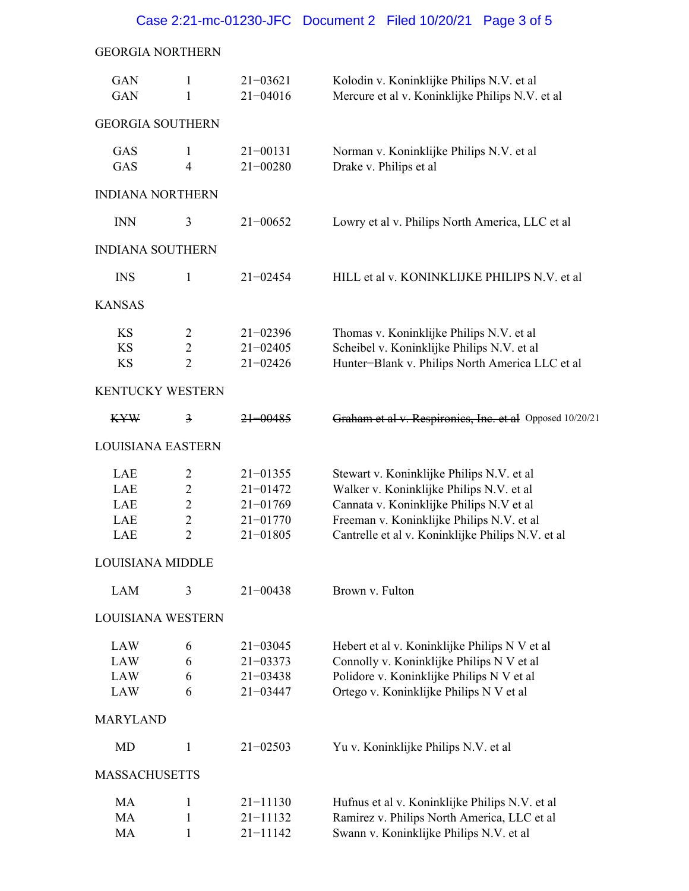#### Case 2:21-mc-01230-JFC Document 2 Filed 10/20/21 Page 3 of 5

### GEORGIA NORTHERN

| <b>GAN</b><br><b>GAN</b> | 1<br>$\mathbf{1}$   | $21 - 03621$<br>$21 - 04016$ | Kolodin v. Koninklijke Philips N.V. et al<br>Mercure et al v. Koninklijke Philips N.V. et al |  |  |  |
|--------------------------|---------------------|------------------------------|----------------------------------------------------------------------------------------------|--|--|--|
| <b>GEORGIA SOUTHERN</b>  |                     |                              |                                                                                              |  |  |  |
| GAS<br>GAS               | 1<br>$\overline{4}$ | $21 - 00131$<br>$21 - 00280$ | Norman v. Koninklijke Philips N.V. et al<br>Drake v. Philips et al                           |  |  |  |
| <b>INDIANA NORTHERN</b>  |                     |                              |                                                                                              |  |  |  |
| <b>INN</b>               | 3                   | $21 - 00652$                 | Lowry et al v. Philips North America, LLC et al                                              |  |  |  |
| <b>INDIANA SOUTHERN</b>  |                     |                              |                                                                                              |  |  |  |
| <b>INS</b>               | 1                   | $21 - 02454$                 | HILL et al v. KONINKLIJKE PHILIPS N.V. et al                                                 |  |  |  |
| <b>KANSAS</b>            |                     |                              |                                                                                              |  |  |  |
| KS                       | $\overline{c}$      | $21 - 02396$                 | Thomas v. Koninklijke Philips N.V. et al                                                     |  |  |  |
| <b>KS</b>                | $\overline{2}$      | $21 - 02405$                 | Scheibel v. Koninklijke Philips N.V. et al                                                   |  |  |  |
| <b>KS</b>                | $\overline{2}$      | $21 - 02426$                 | Hunter-Blank v. Philips North America LLC et al                                              |  |  |  |
| <b>KENTUCKY WESTERN</b>  |                     |                              |                                                                                              |  |  |  |
| <b>KYW</b>               | $\frac{3}{2}$       | <del>21–00485</del>          | Graham et al v. Respironies, Inc. et al Opposed 10/20/21                                     |  |  |  |
| <b>LOUISIANA EASTERN</b> |                     |                              |                                                                                              |  |  |  |
| LAE                      | $\overline{2}$      | $21 - 01355$                 | Stewart v. Koninklijke Philips N.V. et al                                                    |  |  |  |
| LAE                      | $\overline{2}$      | $21 - 01472$                 | Walker v. Koninklijke Philips N.V. et al                                                     |  |  |  |
| LAE                      | $\overline{2}$      | $21 - 01769$                 | Cannata v. Koninklijke Philips N.V et al                                                     |  |  |  |
| LAE                      | $\overline{c}$      | $21 - 01770$                 |                                                                                              |  |  |  |
|                          | $\overline{2}$      |                              | Freeman v. Koninklijke Philips N.V. et al                                                    |  |  |  |
| LAE                      |                     | $21 - 01805$                 | Cantrelle et al v. Koninklijke Philips N.V. et al                                            |  |  |  |
| LOUISIANA MIDDLE         |                     |                              |                                                                                              |  |  |  |
| <b>LAM</b>               | 3                   | $21 - 00438$                 | Brown v. Fulton                                                                              |  |  |  |
| <b>LOUISIANA WESTERN</b> |                     |                              |                                                                                              |  |  |  |
| <b>LAW</b>               | 6                   | $21 - 03045$                 | Hebert et al v. Koninklijke Philips N V et al                                                |  |  |  |
| LAW                      | 6                   | $21 - 03373$                 | Connolly v. Koninklijke Philips N V et al                                                    |  |  |  |
| LAW                      | 6                   | $21 - 03438$                 | Polidore v. Koninklijke Philips N V et al                                                    |  |  |  |
| LAW                      | 6                   | $21 - 03447$                 | Ortego v. Koninklijke Philips N V et al                                                      |  |  |  |
| <b>MARYLAND</b>          |                     |                              |                                                                                              |  |  |  |
| MD                       | 1                   | $21 - 02503$                 | Yu v. Koninklijke Philips N.V. et al                                                         |  |  |  |
| <b>MASSACHUSETTS</b>     |                     |                              |                                                                                              |  |  |  |
| MA                       | 1                   | $21 - 11130$                 | Hufnus et al v. Koninklijke Philips N.V. et al                                               |  |  |  |
| MA                       | 1                   | $21 - 11132$                 | Ramirez v. Philips North America, LLC et al                                                  |  |  |  |
| MA                       | 1                   | $21 - 11142$                 | Swann v. Koninklijke Philips N.V. et al                                                      |  |  |  |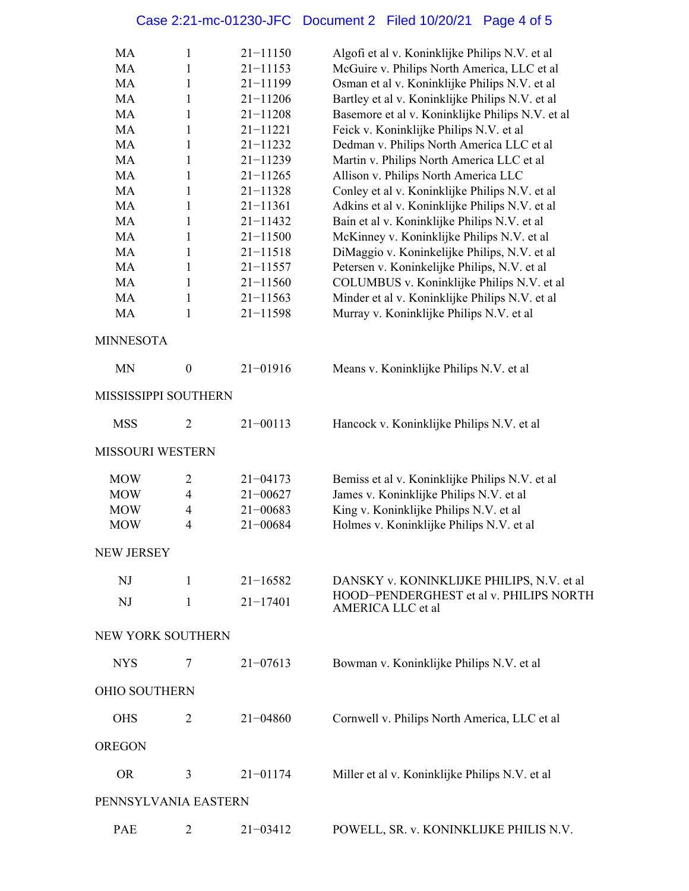## Case 2:21-mc-01230-JFC Document 2 Filed 10/20/21 Page 4 of 5

| MA<br><b>MA</b><br>MA<br>MA<br>MA<br>MA<br>MA<br>MA<br><b>MA</b><br>MA<br>MA | 1<br>1<br>1<br>1<br>$\mathbf{1}$<br>1<br>1<br>1<br>$\mathbf{1}$<br>1<br>1 | $21 - 11150$<br>$21 - 11153$<br>$21 - 11199$<br>$21 - 11206$<br>$21 - 11208$<br>$21 - 11221$<br>$21 - 11232$<br>$21 - 11239$<br>$21 - 11265$<br>$21 - 11328$<br>$21 - 11361$ | Algofi et al v. Koninklijke Philips N.V. et al<br>McGuire v. Philips North America, LLC et al<br>Osman et al v. Koninklijke Philips N.V. et al<br>Bartley et al v. Koninklijke Philips N.V. et al<br>Basemore et al v. Koninklijke Philips N.V. et al<br>Feick v. Koninklijke Philips N.V. et al<br>Dedman v. Philips North America LLC et al<br>Martin v. Philips North America LLC et al<br>Allison v. Philips North America LLC<br>Conley et al v. Koninklijke Philips N.V. et al<br>Adkins et al v. Koninklijke Philips N.V. et al |
|------------------------------------------------------------------------------|---------------------------------------------------------------------------|------------------------------------------------------------------------------------------------------------------------------------------------------------------------------|----------------------------------------------------------------------------------------------------------------------------------------------------------------------------------------------------------------------------------------------------------------------------------------------------------------------------------------------------------------------------------------------------------------------------------------------------------------------------------------------------------------------------------------|
| MA                                                                           | $\mathbf{1}$                                                              | $21 - 11432$                                                                                                                                                                 | Bain et al v. Koninklijke Philips N.V. et al                                                                                                                                                                                                                                                                                                                                                                                                                                                                                           |
| MA                                                                           | 1                                                                         | $21 - 11500$                                                                                                                                                                 | McKinney v. Koninklijke Philips N.V. et al                                                                                                                                                                                                                                                                                                                                                                                                                                                                                             |
| MA                                                                           | 1                                                                         | $21 - 11518$                                                                                                                                                                 | DiMaggio v. Koninkelijke Philips, N.V. et al                                                                                                                                                                                                                                                                                                                                                                                                                                                                                           |
| MA                                                                           | 1                                                                         | $21 - 11557$                                                                                                                                                                 | Petersen v. Koninkelijke Philips, N.V. et al                                                                                                                                                                                                                                                                                                                                                                                                                                                                                           |
| MA                                                                           | $\mathbf{1}$                                                              | $21 - 11560$                                                                                                                                                                 | COLUMBUS v. Koninklijke Philips N.V. et al                                                                                                                                                                                                                                                                                                                                                                                                                                                                                             |
| MA                                                                           |                                                                           | $21 - 11563$                                                                                                                                                                 | Minder et al v. Koninklijke Philips N.V. et al                                                                                                                                                                                                                                                                                                                                                                                                                                                                                         |
| MA                                                                           | $\mathbf{1}$                                                              | $21 - 11598$                                                                                                                                                                 | Murray v. Koninklijke Philips N.V. et al                                                                                                                                                                                                                                                                                                                                                                                                                                                                                               |
|                                                                              | 1                                                                         |                                                                                                                                                                              |                                                                                                                                                                                                                                                                                                                                                                                                                                                                                                                                        |
| <b>MINNESOTA</b>                                                             |                                                                           |                                                                                                                                                                              |                                                                                                                                                                                                                                                                                                                                                                                                                                                                                                                                        |
| <b>MN</b>                                                                    | $\boldsymbol{0}$                                                          | $21 - 01916$                                                                                                                                                                 | Means v. Koninklijke Philips N.V. et al                                                                                                                                                                                                                                                                                                                                                                                                                                                                                                |
| MISSISSIPPI SOUTHERN                                                         |                                                                           |                                                                                                                                                                              |                                                                                                                                                                                                                                                                                                                                                                                                                                                                                                                                        |
| <b>MSS</b>                                                                   | 2                                                                         | $21 - 00113$                                                                                                                                                                 | Hancock v. Koninklijke Philips N.V. et al                                                                                                                                                                                                                                                                                                                                                                                                                                                                                              |
| <b>MISSOURI WESTERN</b>                                                      |                                                                           |                                                                                                                                                                              |                                                                                                                                                                                                                                                                                                                                                                                                                                                                                                                                        |
| <b>MOW</b>                                                                   | $\overline{2}$                                                            | $21 - 04173$                                                                                                                                                                 | Bemiss et al v. Koninklijke Philips N.V. et al                                                                                                                                                                                                                                                                                                                                                                                                                                                                                         |
| <b>MOW</b>                                                                   | 4                                                                         | $21 - 00627$                                                                                                                                                                 | James v. Koninklijke Philips N.V. et al                                                                                                                                                                                                                                                                                                                                                                                                                                                                                                |
| <b>MOW</b>                                                                   | $\overline{\mathcal{A}}$                                                  | $21 - 00683$                                                                                                                                                                 | King v. Koninklijke Philips N.V. et al                                                                                                                                                                                                                                                                                                                                                                                                                                                                                                 |
| <b>MOW</b>                                                                   | $\overline{4}$                                                            | $21 - 00684$                                                                                                                                                                 | Holmes v. Koninklijke Philips N.V. et al                                                                                                                                                                                                                                                                                                                                                                                                                                                                                               |
| <b>NEW JERSEY</b>                                                            |                                                                           |                                                                                                                                                                              |                                                                                                                                                                                                                                                                                                                                                                                                                                                                                                                                        |
| NJ                                                                           | 1                                                                         | $21 - 16582$                                                                                                                                                                 | DANSKY v. KONINKLIJKE PHILIPS, N.V. et al                                                                                                                                                                                                                                                                                                                                                                                                                                                                                              |
| NJ                                                                           | 1                                                                         | $21 - 17401$                                                                                                                                                                 | HOOD-PENDERGHEST et al v. PHILIPS NORTH<br>AMERICA LLC et al                                                                                                                                                                                                                                                                                                                                                                                                                                                                           |
| NEW YORK SOUTHERN                                                            |                                                                           |                                                                                                                                                                              |                                                                                                                                                                                                                                                                                                                                                                                                                                                                                                                                        |
| <b>NYS</b>                                                                   | 7                                                                         | $21 - 07613$                                                                                                                                                                 | Bowman v. Koninklijke Philips N.V. et al                                                                                                                                                                                                                                                                                                                                                                                                                                                                                               |
| OHIO SOUTHERN                                                                |                                                                           |                                                                                                                                                                              |                                                                                                                                                                                                                                                                                                                                                                                                                                                                                                                                        |
| <b>OHS</b>                                                                   | 2                                                                         | $21 - 04860$                                                                                                                                                                 | Cornwell v. Philips North America, LLC et al                                                                                                                                                                                                                                                                                                                                                                                                                                                                                           |
| <b>OREGON</b>                                                                |                                                                           |                                                                                                                                                                              |                                                                                                                                                                                                                                                                                                                                                                                                                                                                                                                                        |
| <b>OR</b>                                                                    | 3                                                                         | $21 - 01174$                                                                                                                                                                 | Miller et al v. Koninklijke Philips N.V. et al                                                                                                                                                                                                                                                                                                                                                                                                                                                                                         |
| PENNSYLVANIA EASTERN                                                         |                                                                           |                                                                                                                                                                              |                                                                                                                                                                                                                                                                                                                                                                                                                                                                                                                                        |
| PAE                                                                          | 2                                                                         | $21 - 03412$                                                                                                                                                                 | POWELL, SR. v. KONINKLIJKE PHILIS N.V.                                                                                                                                                                                                                                                                                                                                                                                                                                                                                                 |